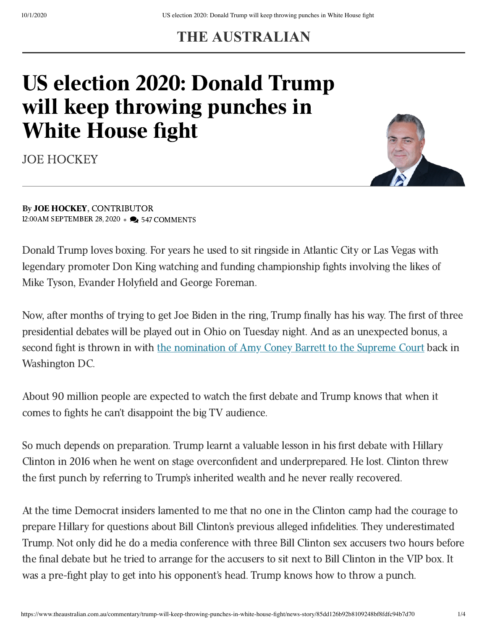## **THE AUSTRALIAN**

## US election 2020: Donald Trump will keep throwing punches in White House fight

[JOE HOCKEY](https://www.theaustralian.com.au/author/Joe+Hockey)



Donald Trump loves boxing. For years he used to sit ringside in Atlantic City or Las Vegas with legendary promoter Don King watching and funding championship fights involving the likes of Mike Tyson, Evander Holyfield and George Foreman.

Now, after months of trying to get Joe Biden in the ring, Trump finally has his way. The first of three presidential debates will be played out in Ohio on Tuesday night. And as an unexpected bonus, a second fight is thrown in with the [nomination](https://www.theaustralian.com.au/world/trump-names-brilliant-amy-coney-barrett-for-supreme-court-vacancy/news-story/0137d202c82d1f7c3b53a143b6bf0b1d) of Amy Coney Barrett to the Supreme Court back in Washington DC.

About 90 million people are expected to watch the first debate and Trump knows that when it comes to fights he can't disappoint the big TV audience.

So much depends on preparation. Trump learnt a valuable lesson in his first debate with Hillary Clinton in 2016 when he went on stage overconfident and underprepared. He lost. Clinton threw the first punch by referring to Trump's inherited wealth and he never really recovered.

At the time Democrat insiders lamented to me that no one in the Clinton camp had the courage to prepare Hillary for questions about Bill Clinton's previous alleged infidelities. They underestimated Trump. Not only did he do a media conference with three Bill Clinton sex accusers two hours before the final debate but he tried to arrange for the accusers to sit next to Bill Clinton in the VIP box. It was a pre-fight play to get into his opponent's head. Trump knows how to throw a punch.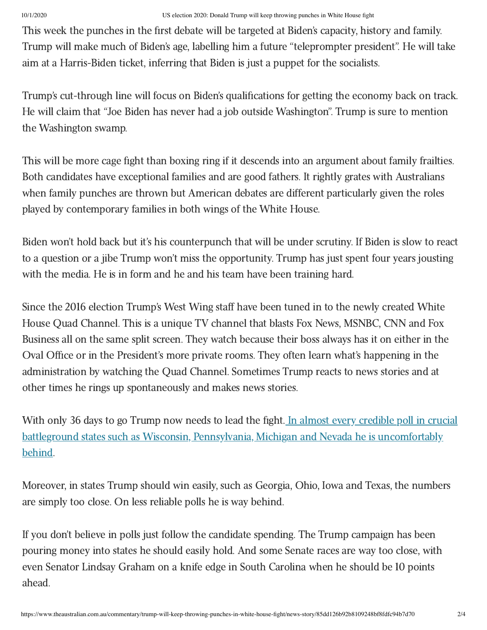This week the punches in the first debate will be targeted at Biden's capacity, history and family. Trump will make much of Biden's age, labelling him a future "teleprompter president". He will take aim at a Harris-Biden ticket, inferring that Biden is just a puppet for the socialists.

Trump's cut-through line will focus on Biden's qualifications for getting the economy back on track. He will claim that "Joe Biden has never had a job outside Washington". Trump is sure to mention the Washington swamp.

This will be more cage fight than boxing ring if it descends into an argument about family frailties. Both candidates have exceptional families and are good fathers. It rightly grates with Australians when family punches are thrown but American debates are different particularly given the roles played by contemporary families in both wings of the White House.

Biden won't hold back but it's his counterpunch that will be under scrutiny. If Biden is slow to react to a question or a jibe Trump won't miss the opportunity. Trump has just spent four years jousting with the media. He is in form and he and his team have been training hard.

Since the 2016 election Trump's West Wing staff have been tuned in to the newly created White House Quad Channel. This is a unique TV channel that blasts Fox News, MSNBC, CNN and Fox Business all on the same split screen. They watch because their boss always has it on either in the Oval Office or in the President's more private rooms. They often learn what's happening in the administration by watching the Quad Channel. Sometimes Trump reacts to news stories and at other times he rings up spontaneously and makes news stories.

With only 36 days to go Trump now needs to lead the fight. In almost every credible poll in crucial battleground states such as Wisconsin, Pennsylvania, Michigan and Nevada he is [uncomfortably](https://www.theaustralian.com.au/business/the-wall-street-journal/joe-biden-holds-bigger-september-poll-lead-than-hillary-clinton-did/news-story/9a2f0c748024b506d33373f84102041d) behind.

Moreover, in states Trump should win easily, such as Georgia, Ohio, Iowa and Texas, the numbers are simply too close. On less reliable polls he is way behind.

If you don't believe in polls just follow the candidate spending. The Trump campaign has been pouring money into states he should easily hold. And some Senate races are way too close, with even Senator Lindsay Graham on a knife edge in South Carolina when he should be 10 points ahead.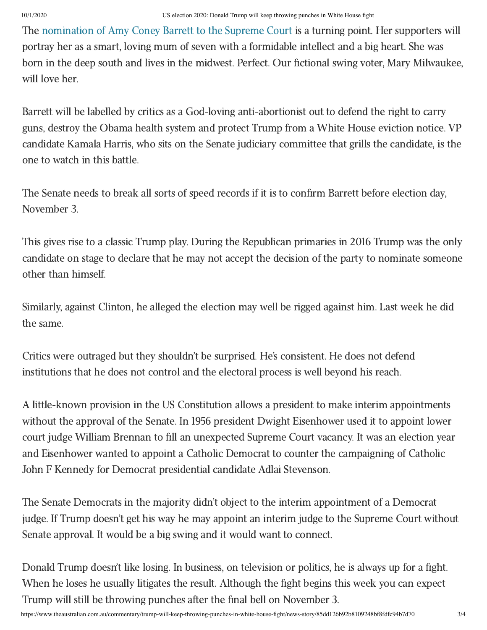The [nomination](https://www.theaustralian.com.au/world/trump-names-brilliant-amy-coney-barrett-for-supreme-court-vacancy/news-story/0137d202c82d1f7c3b53a143b6bf0b1d) of Amy Coney Barrett to the Supreme Court is a turning point. Her supporters will portray her as a smart, loving mum of seven with a formidable intellect and a big heart. She was born in the deep south and lives in the midwest. Perfect. Our fictional swing voter, Mary Milwaukee, will love her.

Barrett will be labelled by critics as a God-loving anti-abortionist out to defend the right to carry guns, destroy the Obama health system and protect Trump from a White House eviction notice. VP candidate Kamala Harris, who sits on the Senate judiciary committee that grills the candidate, is the one to watch in this battle.

The Senate needs to break all sorts of speed records if it is to confirm Barrett before election day, November 3.

This gives rise to a classic Trump play. During the Republican primaries in 2016 Trump was the only candidate on stage to declare that he may not accept the decision of the party to nominate someone other than himself.

Similarly, against Clinton, he alleged the election may well be rigged against him. Last week he did the same.

Critics were outraged but they shouldn't be surprised. He's consistent. He does not defend institutions that he does not control and the electoral process is well beyond his reach.

A little-known provision in the US Constitution allows a president to make interim appointments without the approval of the Senate. In 1956 president Dwight Eisenhower used it to appoint lower court judge William Brennan to fill an unexpected Supreme Court vacancy. It was an election year and Eisenhower wanted to appoint a Catholic Democrat to counter the campaigning of Catholic John F Kennedy for Democrat presidential candidate Adlai Stevenson.

The Senate Democrats in the majority didn't object to the interim appointment of a Democrat judge. If Trump doesn't get his way he may appoint an interim judge to the Supreme Court without Senate approval. It would be a big swing and it would want to connect.

Donald Trump doesn't like losing. In business, on television or politics, he is always up for a fight. When he loses he usually litigates the result. Although the fight begins this week you can expect Trump will still be throwing punches after the final bell on November 3.